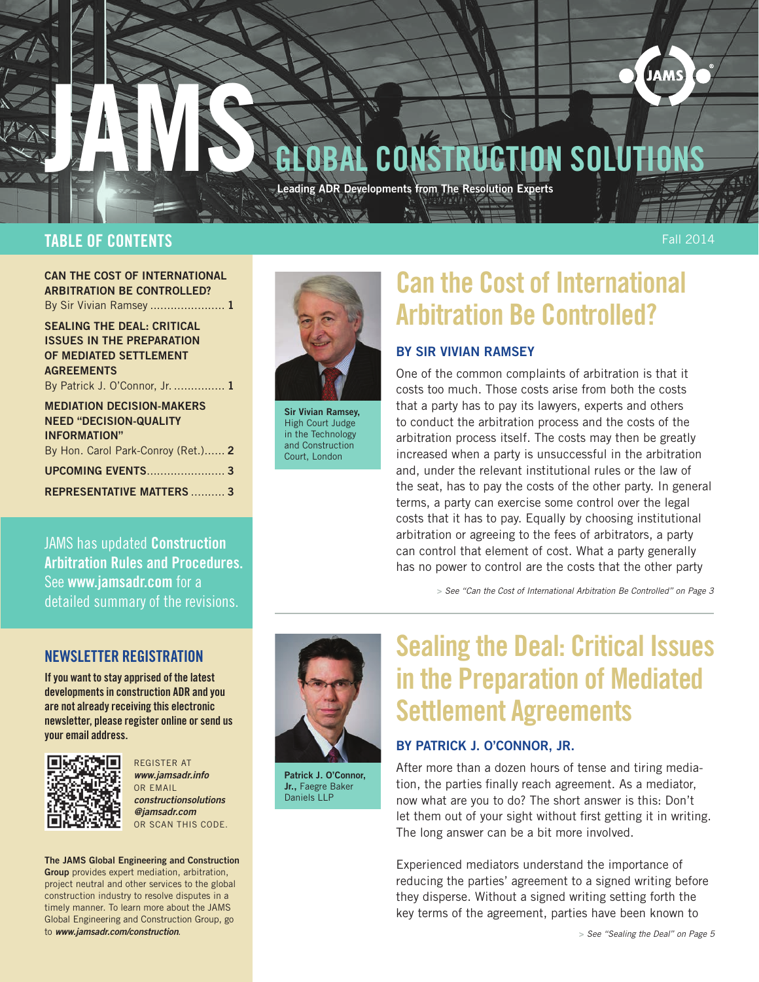

### TABLE OF CONTENTS

Fall 2014

can the cost of international arbitration be controlled? By Sir Vivian Ramsey ....................... 1

SEALING THE DEAL: CRITICAL Issues in the preparation of mediated settlement **AGREEMENTS** By Patrick J. O'Connor, Jr. ............... 1

MEdiation decision-makers need "Decision-Quality Information" [By Hon. Carol Park-Conroy \(Ret.\)......](#page-1-0) 2 UPCOMING EVENTS[.......................](#page-2-0) 3 REPRESENTATIVE MATTERS [..........](#page-2-0) 3

JAMS has updated Construction Arbitration Rules and Procedures.

detailed summary of the revisions.



Sir Vivian Ramsey, High Court Judge in the Technology and Construction Court, London

# Can the Cost of International Arbitration Be Controlled?

### by Sir vivian ramsey

One of the common complaints of arbitration is that it costs too much. Those costs arise from both the costs that a party has to pay its lawyers, experts and others to conduct the arbitration process and the costs of the arbitration process itself. The costs may then be greatly increased when a party is unsuccessful in the arbitration and, under the relevant institutional rules or the law of the seat, has to pay the costs of the other party. In general terms, a party can exercise some control over the legal costs that it has to pay. Equally by choosing institutional arbitration or agreeing to the fees of arbitrators, a party can control that element of cost. What a party generally has no power to control are the costs that the other party

> *[See "Can the Cost of International Arbitration Be Controlled" on Page 3](#page-2-0)*

NEWSLETTER REGISTRATION

See [www.jamsadr.com](http://www.jamsadr.com) for a

If you want to stay apprised of the latest developments in construction ADR and you are not already receiving this electronic newsletter, please register online or send us your email address.



REGISTER AT *[www.jamsadr.info](http://www.jamsadr.info)* OR EMAIL *constructionsolutions @jamsadr.com* OR SCAN THIS CODE.

The JAMS Global Engineering and Construction Group provides expert mediation, arbitration, project neutral and other services to the global construction industry to resolve disputes in a timely manner. To learn more about the JAMS Global Engineering and Construction Group, go to *[www.jamsadr.com/construction](http://www.jamsadr.com/construction)*.



Patrick J. O'Connor, Jr., Faegre Baker Daniels LLP

# Sealing the Deal: Critical Issues in the Preparation of Mediated Settlement Agreements

### By Patrick J. o'connor, jr.

After more than a dozen hours of tense and tiring mediation, the parties finally reach agreement. As a mediator, now what are you to do? The short answer is this: Don't let them out of your sight without first getting it in writing. The long answer can be a bit more involved.

Experienced mediators understand the importance of reducing the parties' agreement to a signed writing before they disperse. Without a signed writing setting forth the key terms of the agreement, parties have been known to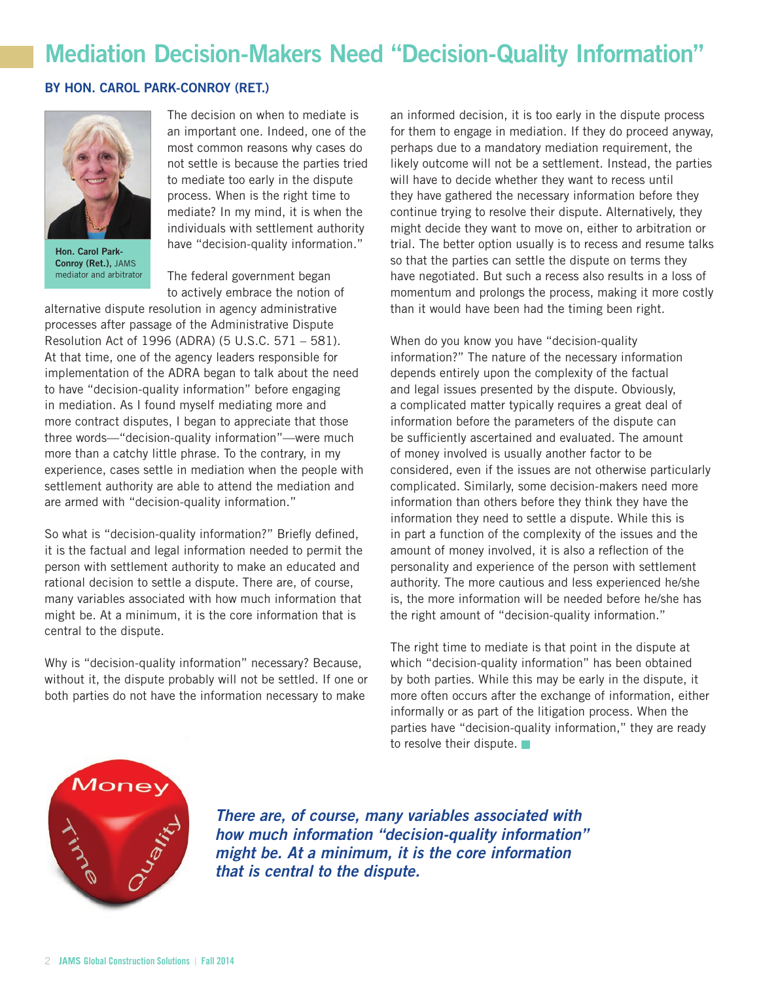## <span id="page-1-0"></span>Mediation Decision-Makers Need "Decision-Quality Information"

#### BY Hon. Carol Park-Conroy (ret.)



Hon. Carol Park-Conroy (Ret.), JAMS mediator and arbitrator

The decision on when to mediate is an important one. Indeed, one of the most common reasons why cases do not settle is because the parties tried to mediate too early in the dispute process. When is the right time to mediate? In my mind, it is when the individuals with settlement authority have "decision-quality information."

The federal government began to actively embrace the notion of

alternative dispute resolution in agency administrative processes after passage of the Administrative Dispute Resolution Act of 1996 (ADRA) (5 U.S.C. 571 – 581). At that time, one of the agency leaders responsible for implementation of the ADRA began to talk about the need to have "decision-quality information" before engaging in mediation. As I found myself mediating more and more contract disputes, I began to appreciate that those three words—"decision-quality information"—were much more than a catchy little phrase. To the contrary, in my experience, cases settle in mediation when the people with settlement authority are able to attend the mediation and are armed with "decision-quality information."

So what is "decision-quality information?" Briefly defined, it is the factual and legal information needed to permit the person with settlement authority to make an educated and rational decision to settle a dispute. There are, of course, many variables associated with how much information that might be. At a minimum, it is the core information that is central to the dispute.

Why is "decision-quality information" necessary? Because, without it, the dispute probably will not be settled. If one or both parties do not have the information necessary to make

an informed decision, it is too early in the dispute process for them to engage in mediation. If they do proceed anyway, perhaps due to a mandatory mediation requirement, the likely outcome will not be a settlement. Instead, the parties will have to decide whether they want to recess until they have gathered the necessary information before they continue trying to resolve their dispute. Alternatively, they might decide they want to move on, either to arbitration or trial. The better option usually is to recess and resume talks so that the parties can settle the dispute on terms they have negotiated. But such a recess also results in a loss of momentum and prolongs the process, making it more costly than it would have been had the timing been right.

When do you know you have "decision-quality information?" The nature of the necessary information depends entirely upon the complexity of the factual and legal issues presented by the dispute. Obviously, a complicated matter typically requires a great deal of information before the parameters of the dispute can be sufficiently ascertained and evaluated. The amount of money involved is usually another factor to be considered, even if the issues are not otherwise particularly complicated. Similarly, some decision-makers need more information than others before they think they have the information they need to settle a dispute. While this is in part a function of the complexity of the issues and the amount of money involved, it is also a reflection of the personality and experience of the person with settlement authority. The more cautious and less experienced he/she is, the more information will be needed before he/she has the right amount of "decision-quality information."

The right time to mediate is that point in the dispute at which "decision-quality information" has been obtained by both parties. While this may be early in the dispute, it more often occurs after the exchange of information, either informally or as part of the litigation process. When the parties have "decision-quality information," they are ready to resolve their dispute.



*There are, of course, many variables associated with how much information "decision-quality information" might be. At a minimum, it is the core information that is central to the dispute.*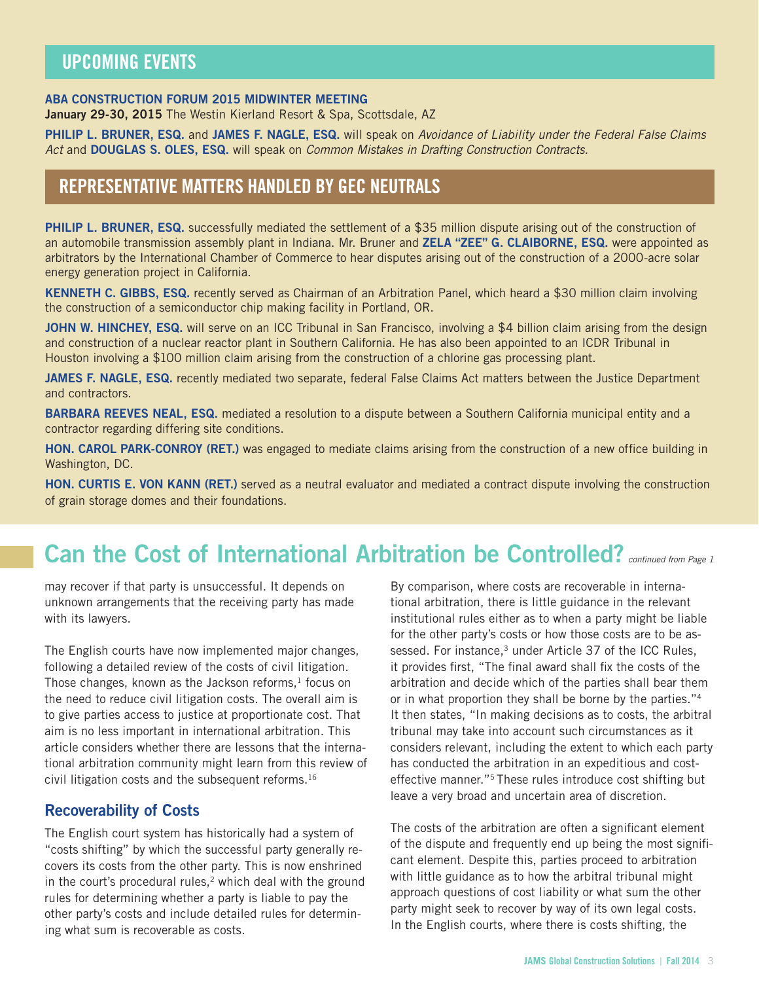## <span id="page-2-0"></span>UPCOMING EVENTS

#### ABA Construction forum 2015 midwinter meeting

January 29-30, 2015 The Westin Kierland Resort & Spa, Scottsdale, AZ

PHILIP L. BRUNER, ESQ. and JAMES F. NAGLE, ESQ. will speak on *Avoidance of Liability under the Federal False Claims Act* and DougLAS S. Oles, Esq. will speak on *Common Mistakes in Drafting Construction Contracts.*

### REPRESENTATIVE MATTERS HANDLED BY GEC NEUTRALS

PHILIP L. BRUNER, ESQ. successfully mediated the settlement of a \$35 million dispute arising out of the construction of an automobile transmission assembly plant in Indiana. Mr. Bruner and ZELA "ZEE" G. CLAIBORNE, ESQ. were appointed as arbitrators by the International Chamber of Commerce to hear disputes arising out of the construction of a 2000-acre solar energy generation project in California.

KENNETH C. GIBBS, ESQ. recently served as Chairman of an Arbitration Panel, which heard a \$30 million claim involving the construction of a semiconductor chip making facility in Portland, OR.

JOHN W. HINCHEY, ESQ. will serve on an ICC Tribunal in San Francisco, involving a \$4 billion claim arising from the design and construction of a nuclear reactor plant in Southern California. He has also been appointed to an ICDR Tribunal in Houston involving a \$100 million claim arising from the construction of a chlorine gas processing plant.

JAMES F. NAGLE, ESQ. recently mediated two separate, federal False Claims Act matters between the Justice Department and contractors.

BARBARA REEVES NEAL, ESQ. mediated a resolution to a dispute between a Southern California municipal entity and a contractor regarding differing site conditions.

HON. CAROL PARK-CONROY (RET.) was engaged to mediate claims arising from the construction of a new office building in Washington, DC.

HON. CURTIS E. VON KANN (RET.) served as a neutral evaluator and mediated a contract dispute involving the construction of grain storage domes and their foundations.

## Can the Cost of International Arbitration be Controlled? *continued from Page 1*

may recover if that party is unsuccessful. It depends on unknown arrangements that the receiving party has made with its lawyers.

The English courts have now implemented major changes, following a detailed review of the costs of civil litigation. Those changes, known as the Jackson reforms, $<sup>1</sup>$  focus on</sup> the need to reduce civil litigation costs. The overall aim is to give parties access to justice at proportionate cost. That aim is no less important in international arbitration. This article considers whether there are lessons that the international arbitration community might learn from this review of civil litigation costs and the subsequent reforms.16

### Recoverability of Costs

The English court system has historically had a system of "costs shifting" by which the successful party generally recovers its costs from the other party. This is now enshrined in the court's procedural rules, $2$  which deal with the ground rules for determining whether a party is liable to pay the other party's costs and include detailed rules for determining what sum is recoverable as costs.

By comparison, where costs are recoverable in international arbitration, there is little guidance in the relevant institutional rules either as to when a party might be liable for the other party's costs or how those costs are to be assessed. For instance,<sup>3</sup> under Article 37 of the ICC Rules, it provides first, "The final award shall fix the costs of the arbitration and decide which of the parties shall bear them or in what proportion they shall be borne by the parties."4 It then states, "In making decisions as to costs, the arbitral tribunal may take into account such circumstances as it considers relevant, including the extent to which each party has conducted the arbitration in an expeditious and costeffective manner."5 These rules introduce cost shifting but leave a very broad and uncertain area of discretion.

The costs of the arbitration are often a significant element of the dispute and frequently end up being the most significant element. Despite this, parties proceed to arbitration with little guidance as to how the arbitral tribunal might approach questions of cost liability or what sum the other party might seek to recover by way of its own legal costs. In the English courts, where there is costs shifting, the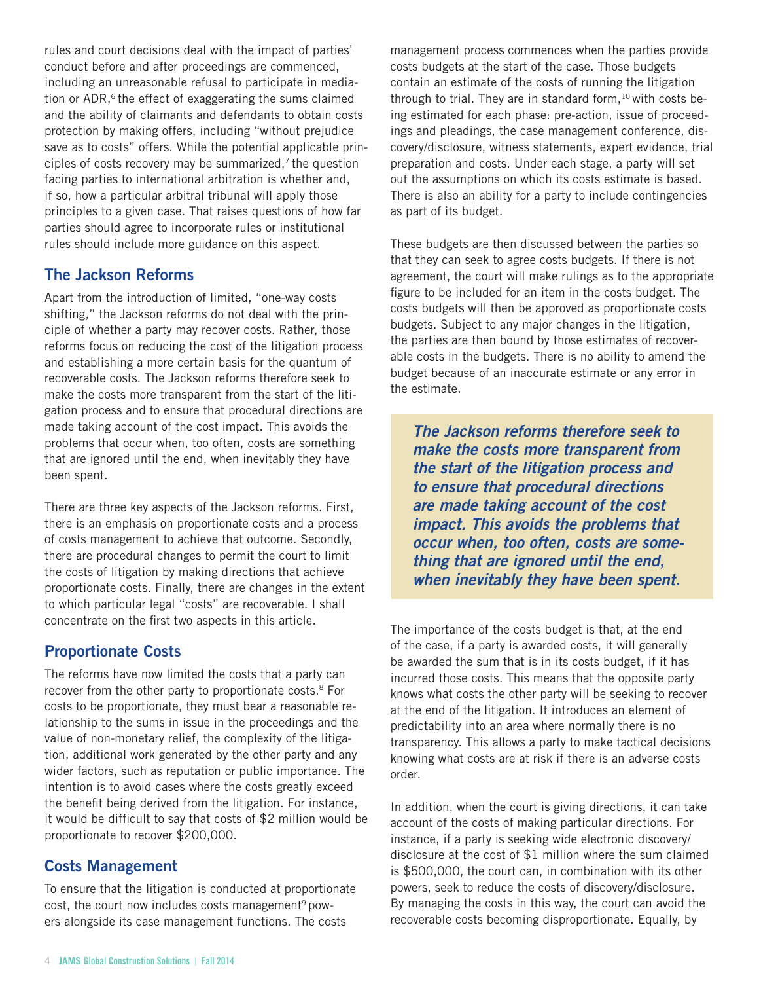rules and court decisions deal with the impact of parties' conduct before and after proceedings are commenced, including an unreasonable refusal to participate in mediation or  $ADR$ ,<sup>6</sup> the effect of exaggerating the sums claimed and the ability of claimants and defendants to obtain costs protection by making offers, including "without prejudice save as to costs" offers. While the potential applicable principles of costs recovery may be summarized, $7$  the question facing parties to international arbitration is whether and, if so, how a particular arbitral tribunal will apply those principles to a given case. That raises questions of how far parties should agree to incorporate rules or institutional rules should include more guidance on this aspect.

### The Jackson Reforms

Apart from the introduction of limited, "one-way costs shifting," the Jackson reforms do not deal with the principle of whether a party may recover costs. Rather, those reforms focus on reducing the cost of the litigation process and establishing a more certain basis for the quantum of recoverable costs. The Jackson reforms therefore seek to make the costs more transparent from the start of the litigation process and to ensure that procedural directions are made taking account of the cost impact. This avoids the problems that occur when, too often, costs are something that are ignored until the end, when inevitably they have been spent.

There are three key aspects of the Jackson reforms. First, there is an emphasis on proportionate costs and a process of costs management to achieve that outcome. Secondly, there are procedural changes to permit the court to limit the costs of litigation by making directions that achieve proportionate costs. Finally, there are changes in the extent to which particular legal "costs" are recoverable. I shall concentrate on the first two aspects in this article.

### Proportionate Costs

The reforms have now limited the costs that a party can recover from the other party to proportionate costs.<sup>8</sup> For costs to be proportionate, they must bear a reasonable relationship to the sums in issue in the proceedings and the value of non-monetary relief, the complexity of the litigation, additional work generated by the other party and any wider factors, such as reputation or public importance. The intention is to avoid cases where the costs greatly exceed the benefit being derived from the litigation. For instance, it would be difficult to say that costs of \$2 million would be proportionate to recover \$200,000.

### Costs Management

To ensure that the litigation is conducted at proportionate cost, the court now includes costs management<sup>9</sup> powers alongside its case management functions. The costs

management process commences when the parties provide costs budgets at the start of the case. Those budgets contain an estimate of the costs of running the litigation through to trial. They are in standard form,  $10$  with costs being estimated for each phase: pre-action, issue of proceedings and pleadings, the case management conference, discovery/disclosure, witness statements, expert evidence, trial preparation and costs. Under each stage, a party will set out the assumptions on which its costs estimate is based. There is also an ability for a party to include contingencies as part of its budget.

These budgets are then discussed between the parties so that they can seek to agree costs budgets. If there is not agreement, the court will make rulings as to the appropriate figure to be included for an item in the costs budget. The costs budgets will then be approved as proportionate costs budgets. Subject to any major changes in the litigation, the parties are then bound by those estimates of recoverable costs in the budgets. There is no ability to amend the budget because of an inaccurate estimate or any error in the estimate.

*The Jackson reforms therefore seek to make the costs more transparent from the start of the litigation process and to ensure that procedural directions are made taking account of the cost impact. This avoids the problems that occur when, too often, costs are something that are ignored until the end, when inevitably they have been spent.*

The importance of the costs budget is that, at the end of the case, if a party is awarded costs, it will generally be awarded the sum that is in its costs budget, if it has incurred those costs. This means that the opposite party knows what costs the other party will be seeking to recover at the end of the litigation. It introduces an element of predictability into an area where normally there is no transparency. This allows a party to make tactical decisions knowing what costs are at risk if there is an adverse costs order.

In addition, when the court is giving directions, it can take account of the costs of making particular directions. For instance, if a party is seeking wide electronic discovery/ disclosure at the cost of \$1 million where the sum claimed is \$500,000, the court can, in combination with its other powers, seek to reduce the costs of discovery/disclosure. By managing the costs in this way, the court can avoid the recoverable costs becoming disproportionate. Equally, by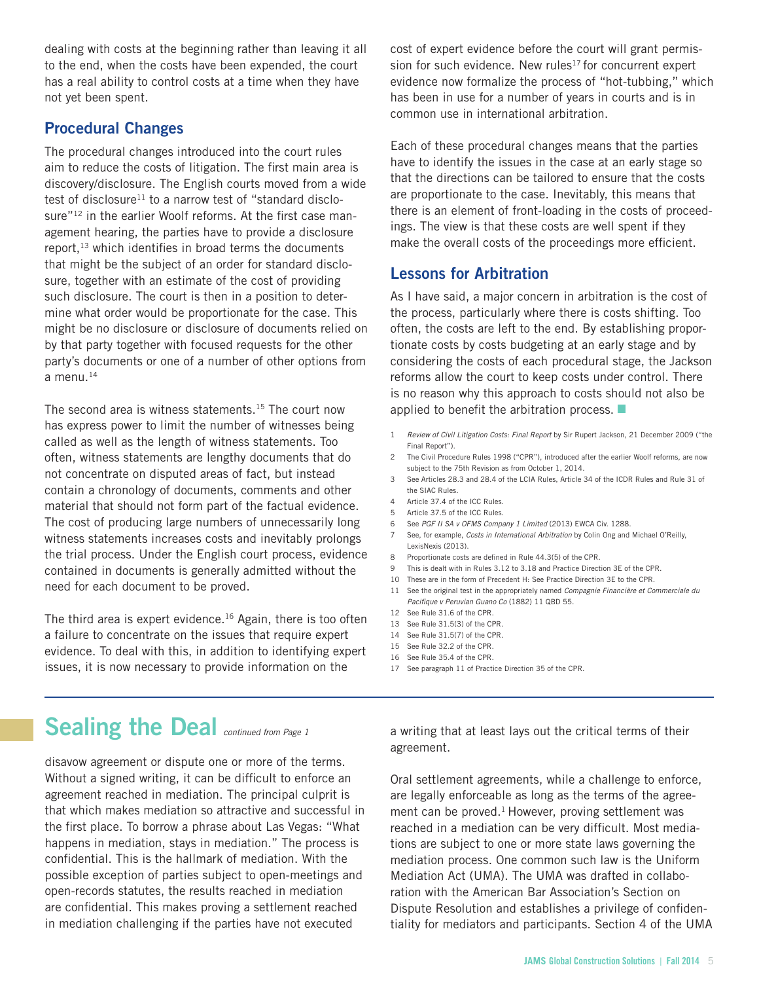<span id="page-4-0"></span>dealing with costs at the beginning rather than leaving it all to the end, when the costs have been expended, the court has a real ability to control costs at a time when they have not yet been spent.

### Procedural Changes

The procedural changes introduced into the court rules aim to reduce the costs of litigation. The first main area is discovery/disclosure. The English courts moved from a wide test of disclosure<sup>11</sup> to a narrow test of "standard disclosure"<sup>12</sup> in the earlier Woolf reforms. At the first case management hearing, the parties have to provide a disclosure report, $13$  which identifies in broad terms the documents that might be the subject of an order for standard disclosure, together with an estimate of the cost of providing such disclosure. The court is then in a position to determine what order would be proportionate for the case. This might be no disclosure or disclosure of documents relied on by that party together with focused requests for the other party's documents or one of a number of other options from a menu. $14$ 

The second area is witness statements.<sup>15</sup> The court now has express power to limit the number of witnesses being called as well as the length of witness statements. Too often, witness statements are lengthy documents that do not concentrate on disputed areas of fact, but instead contain a chronology of documents, comments and other material that should not form part of the factual evidence. The cost of producing large numbers of unnecessarily long witness statements increases costs and inevitably prolongs the trial process. Under the English court process, evidence contained in documents is generally admitted without the need for each document to be proved.

The third area is expert evidence.<sup>16</sup> Again, there is too often a failure to concentrate on the issues that require expert evidence. To deal with this, in addition to identifying expert issues, it is now necessary to provide information on the

cost of expert evidence before the court will grant permission for such evidence. New rules<sup>17</sup> for concurrent expert evidence now formalize the process of "hot-tubbing," which has been in use for a number of years in courts and is in common use in international arbitration.

Each of these procedural changes means that the parties have to identify the issues in the case at an early stage so that the directions can be tailored to ensure that the costs are proportionate to the case. Inevitably, this means that there is an element of front-loading in the costs of proceedings. The view is that these costs are well spent if they make the overall costs of the proceedings more efficient.

### Lessons for Arbitration

As I have said, a major concern in arbitration is the cost of the process, particularly where there is costs shifting. Too often, the costs are left to the end. By establishing proportionate costs by costs budgeting at an early stage and by considering the costs of each procedural stage, the Jackson reforms allow the court to keep costs under control. There is no reason why this approach to costs should not also be applied to benefit the arbitration process.

- 1 *Review of Civil Litigation Costs: Final Report* by Sir Rupert Jackson, 21 December 2009 ("the Final Report").
- 2 The Civil Procedure Rules 1998 ("CPR"), introduced after the earlier Woolf reforms, are now subject to the 75th Revision as from October 1, 2014.
- 3 See Articles 28.3 and 28.4 of the LCIA Rules, Article 34 of the ICDR Rules and Rule 31 of the SIAC Rules.
- 4 Article 37.4 of the ICC Rules.
- 5 Article 37.5 of the ICC Rules.
- 6 See *PGF II SA v OFMS Company 1 Limited* (2013) EWCA Civ. 1288.
- 7 See, for example, *Costs in International Arbitration* by Colin Ong and Michael O'Reilly, LexisNexis (2013).
- 8 Proportionate costs are defined in Rule 44.3(5) of the CPR.
- 9 This is dealt with in Rules 3.12 to 3.18 and Practice Direction 3E of the CPR.
- 10 These are in the form of Precedent H: See Practice Direction 3E to the CPR.
- 11 See the original test in the appropriately named *Compagnie Financière et Commerciale du Pacifique v Peruvian Guano Co* (1882) 11 QBD 55.
- 12 See Rule 31.6 of the CPR.
- 13 See Rule 31.5(3) of the CPR.
- 14 See Rule 31.5(7) of the CPR.
- 15 See Rule 32.2 of the CPR.
- 16 See Rule 35.4 of the CPR.
- 17 See paragraph 11 of Practice Direction 35 of the CPR.

# Sealing the Deal **continued from Page 1**

disavow agreement or dispute one or more of the terms. Without a signed writing, it can be difficult to enforce an agreement reached in mediation. The principal culprit is that which makes mediation so attractive and successful in the first place. To borrow a phrase about Las Vegas: "What happens in mediation, stays in mediation." The process is confidential. This is the hallmark of mediation. With the possible exception of parties subject to open-meetings and open-records statutes, the results reached in mediation are confidential. This makes proving a settlement reached in mediation challenging if the parties have not executed

a writing that at least lays out the critical terms of their agreement.

Oral settlement agreements, while a challenge to enforce, are legally enforceable as long as the terms of the agreement can be proved.<sup>1</sup> However, proving settlement was reached in a mediation can be very difficult. Most mediations are subject to one or more state laws governing the mediation process. One common such law is the Uniform Mediation Act (UMA). The UMA was drafted in collaboration with the American Bar Association's Section on Dispute Resolution and establishes a privilege of confidentiality for mediators and participants. Section 4 of the UMA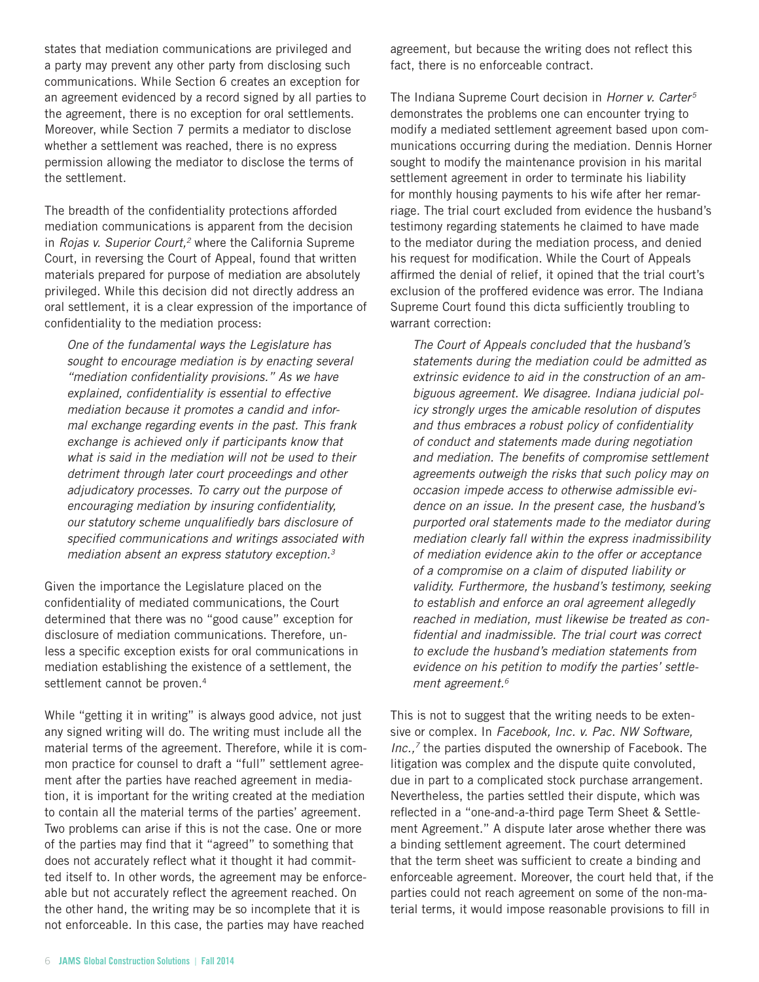states that mediation communications are privileged and a party may prevent any other party from disclosing such communications. While Section 6 creates an exception for an agreement evidenced by a record signed by all parties to the agreement, there is no exception for oral settlements. Moreover, while Section 7 permits a mediator to disclose whether a settlement was reached, there is no express permission allowing the mediator to disclose the terms of the settlement.

The breadth of the confidentiality protections afforded mediation communications is apparent from the decision in *Rojas v. Superior Court*,<sup>2</sup> where the California Supreme Court, in reversing the Court of Appeal, found that written materials prepared for purpose of mediation are absolutely privileged. While this decision did not directly address an oral settlement, it is a clear expression of the importance of confidentiality to the mediation process:

*One of the fundamental ways the Legislature has sought to encourage mediation is by enacting several "mediation confidentiality provisions." As we have explained, confidentiality is essential to effective mediation because it promotes a candid and informal exchange regarding events in the past. This frank exchange is achieved only if participants know that what is said in the mediation will not be used to their detriment through later court proceedings and other adjudicatory processes. To carry out the purpose of encouraging mediation by insuring confidentiality, our statutory scheme unqualifiedly bars disclosure of specified communications and writings associated with mediation absent an express statutory exception.3*

Given the importance the Legislature placed on the confidentiality of mediated communications, the Court determined that there was no "good cause" exception for disclosure of mediation communications. Therefore, unless a specific exception exists for oral communications in mediation establishing the existence of a settlement, the settlement cannot be proven.<sup>4</sup>

While "getting it in writing" is always good advice, not just any signed writing will do. The writing must include all the material terms of the agreement. Therefore, while it is common practice for counsel to draft a "full" settlement agreement after the parties have reached agreement in mediation, it is important for the writing created at the mediation to contain all the material terms of the parties' agreement. Two problems can arise if this is not the case. One or more of the parties may find that it "agreed" to something that does not accurately reflect what it thought it had committed itself to. In other words, the agreement may be enforceable but not accurately reflect the agreement reached. On the other hand, the writing may be so incomplete that it is not enforceable. In this case, the parties may have reached

agreement, but because the writing does not reflect this fact, there is no enforceable contract.

The Indiana Supreme Court decision in *Horner v. Carter5* demonstrates the problems one can encounter trying to modify a mediated settlement agreement based upon communications occurring during the mediation. Dennis Horner sought to modify the maintenance provision in his marital settlement agreement in order to terminate his liability for monthly housing payments to his wife after her remarriage. The trial court excluded from evidence the husband's testimony regarding statements he claimed to have made to the mediator during the mediation process, and denied his request for modification. While the Court of Appeals affirmed the denial of relief, it opined that the trial court's exclusion of the proffered evidence was error. The Indiana Supreme Court found this dicta sufficiently troubling to warrant correction:

*The Court of Appeals concluded that the husband's statements during the mediation could be admitted as extrinsic evidence to aid in the construction of an ambiguous agreement. We disagree. Indiana judicial policy strongly urges the amicable resolution of disputes and thus embraces a robust policy of confidentiality of conduct and statements made during negotiation and mediation. The benefits of compromise settlement agreements outweigh the risks that such policy may on occasion impede access to otherwise admissible evidence on an issue. In the present case, the husband's purported oral statements made to the mediator during mediation clearly fall within the express inadmissibility of mediation evidence akin to the offer or acceptance of a compromise on a claim of disputed liability or validity. Furthermore, the husband's testimony, seeking to establish and enforce an oral agreement allegedly reached in mediation, must likewise be treated as confidential and inadmissible. The trial court was correct to exclude the husband's mediation statements from evidence on his petition to modify the parties' settlement agreement.6*

This is not to suggest that the writing needs to be extensive or complex. In *Facebook, Inc. v. Pac. NW Software, Inc.,7* the parties disputed the ownership of Facebook. The litigation was complex and the dispute quite convoluted, due in part to a complicated stock purchase arrangement. Nevertheless, the parties settled their dispute, which was reflected in a "one-and-a-third page Term Sheet & Settlement Agreement." A dispute later arose whether there was a binding settlement agreement. The court determined that the term sheet was sufficient to create a binding and enforceable agreement. Moreover, the court held that, if the parties could not reach agreement on some of the non-material terms, it would impose reasonable provisions to fill in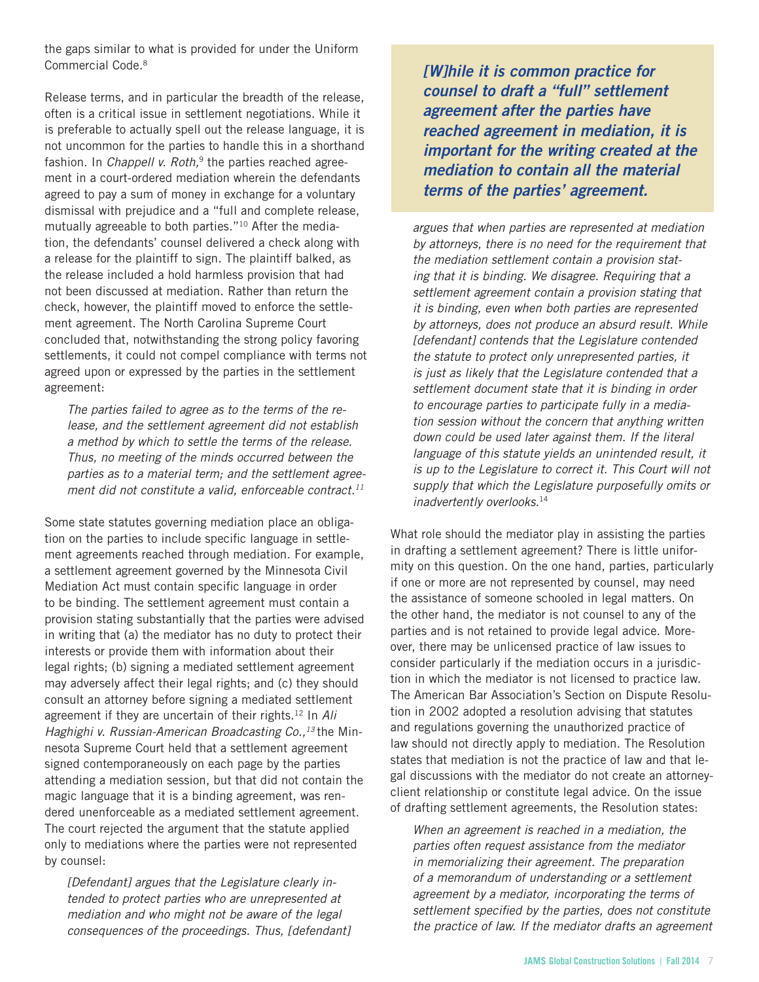the gaps similar to what is provided for under the Uniform Commercial Code.8

Release terms, and in particular the breadth of the release, often is a critical issue in settlement negotiations. While it is preferable to actually spell out the release language, it is not uncommon for the parties to handle this in a shorthand fashion. In *Chappell v. Roth*,<sup>9</sup> the parties reached agreement in a court-ordered mediation wherein the defendants agreed to pay a sum of money in exchange for a voluntary dismissal with prejudice and a "full and complete release, mutually agreeable to both parties."10 After the mediation, the defendants' counsel delivered a check along with a release for the plaintiff to sign. The plaintiff balked, as the release included a hold harmless provision that had not been discussed at mediation. Rather than return the check, however, the plaintiff moved to enforce the settlement agreement. The North Carolina Supreme Court concluded that, notwithstanding the strong policy favoring settlements, it could not compel compliance with terms not agreed upon or expressed by the parties in the settlement agreement:

*The parties failed to agree as to the terms of the release, and the settlement agreement did not establish a method by which to settle the terms of the release. Thus, no meeting of the minds occurred between the parties as to a material term; and the settlement agreement did not constitute a valid, enforceable contract.11*

Some state statutes governing mediation place an obligation on the parties to include specific language in settlement agreements reached through mediation. For example, a settlement agreement governed by the Minnesota Civil Mediation Act must contain specific language in order to be binding. The settlement agreement must contain a provision stating substantially that the parties were advised in writing that (a) the mediator has no duty to protect their interests or provide them with information about their legal rights; (b) signing a mediated settlement agreement may adversely affect their legal rights; and (c) they should consult an attorney before signing a mediated settlement agreement if they are uncertain of their rights.12 In *Ali Haghighi v. Russian-American Broadcasting Co.*,<sup>13</sup> the Minnesota Supreme Court held that a settlement agreement signed contemporaneously on each page by the parties attending a mediation session, but that did not contain the magic language that it is a binding agreement, was rendered unenforceable as a mediated settlement agreement. The court rejected the argument that the statute applied only to mediations where the parties were not represented by counsel:

*[Defendant] argues that the Legislature clearly intended to protect parties who are unrepresented at mediation and who might not be aware of the legal consequences of the proceedings. Thus, [defendant]*  *[W]hile it is common practice for counsel to draft a "full" settlement agreement after the parties have reached agreement in mediation, it is important for the writing created at the mediation to contain all the material terms of the parties' agreement.* 

*argues that when parties are represented at mediation by attorneys, there is no need for the requirement that the mediation settlement contain a provision stating that it is binding. We disagree. Requiring that a settlement agreement contain a provision stating that it is binding, even when both parties are represented by attorneys, does not produce an absurd result. While [defendant] contends that the Legislature contended the statute to protect only unrepresented parties, it is just as likely that the Legislature contended that a settlement document state that it is binding in order to encourage parties to participate fully in a mediation session without the concern that anything written down could be used later against them. If the literal language of this statute yields an unintended result, it is up to the Legislature to correct it. This Court will not supply that which the Legislature purposefully omits or inadvertently overlooks.*<sup>14</sup>

What role should the mediator play in assisting the parties in drafting a settlement agreement? There is little uniformity on this question. On the one hand, parties, particularly if one or more are not represented by counsel, may need the assistance of someone schooled in legal matters. On the other hand, the mediator is not counsel to any of the parties and is not retained to provide legal advice. Moreover, there may be unlicensed practice of law issues to consider particularly if the mediation occurs in a jurisdiction in which the mediator is not licensed to practice law. The American Bar Association's Section on Dispute Resolution in 2002 adopted a resolution advising that statutes and regulations governing the unauthorized practice of law should not directly apply to mediation. The Resolution states that mediation is not the practice of law and that legal discussions with the mediator do not create an attorneyclient relationship or constitute legal advice. On the issue of drafting settlement agreements, the Resolution states:

*When an agreement is reached in a mediation, the parties often request assistance from the mediator in memorializing their agreement. The preparation of a memorandum of understanding or a settlement agreement by a mediator, incorporating the terms of settlement specified by the parties, does not constitute the practice of law. If the mediator drafts an agreement*